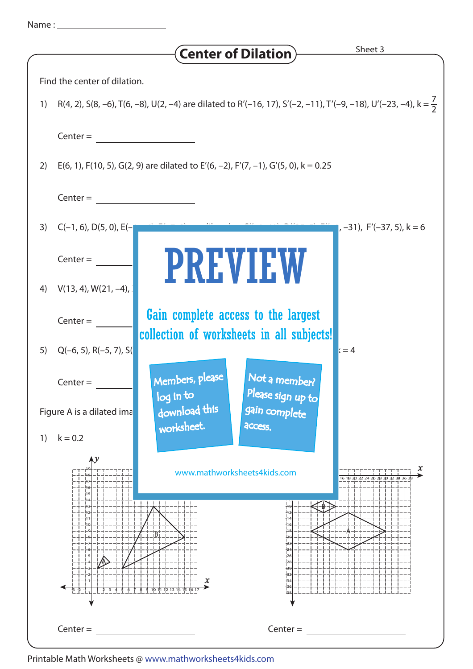|  | Name |  |
|--|------|--|
|  |      |  |
|  |      |  |

|                                                                                                                                  | <b>Center of Dilation</b>                                        | Sheet 3                      |  |  |  |  |  |
|----------------------------------------------------------------------------------------------------------------------------------|------------------------------------------------------------------|------------------------------|--|--|--|--|--|
| Find the center of dilation.                                                                                                     |                                                                  |                              |  |  |  |  |  |
| R(4, 2), S(8, -6), T(6, -8), U(2, -4) are dilated to R'(-16, 17), S'(-2, -11), T'(-9, -18), U'(-23, -4), k = $\frac{7}{2}$<br>1) |                                                                  |                              |  |  |  |  |  |
| $Center =$                                                                                                                       |                                                                  |                              |  |  |  |  |  |
| E(6, 1), F(10, 5), G(2, 9) are dilated to E'(6, -2), F'(7, -1), G'(5, 0), k = 0.25<br>2)                                         |                                                                  |                              |  |  |  |  |  |
|                                                                                                                                  |                                                                  |                              |  |  |  |  |  |
| $Center =$                                                                                                                       |                                                                  |                              |  |  |  |  |  |
| $C(-1, 6)$ , D(5, 0), E(-<br>3)                                                                                                  |                                                                  | $(-31)$ , F'(-37, 5), k = 6  |  |  |  |  |  |
| $Center =$                                                                                                                       | <b>PREVIEW</b>                                                   |                              |  |  |  |  |  |
| $V(13, 4), W(21, -4),$<br>4)                                                                                                     |                                                                  |                              |  |  |  |  |  |
| $Center =$                                                                                                                       | Gain complete access to the largest                              |                              |  |  |  |  |  |
| $Q(-6, 5)$ , R $(-5, 7)$ , S $($<br>5)                                                                                           | collection of worksheets in all subjects!                        | $x = 4$                      |  |  |  |  |  |
| $Center =$                                                                                                                       | Not a member?<br>Members, please                                 |                              |  |  |  |  |  |
| Figure A is a dilated ima                                                                                                        | Please sign up to<br>log in to<br>download this<br>gain complete |                              |  |  |  |  |  |
| $k = 0.2$<br>1)                                                                                                                  | worksheet.<br>access.                                            |                              |  |  |  |  |  |
|                                                                                                                                  |                                                                  |                              |  |  |  |  |  |
|                                                                                                                                  | www.mathworksheets4kids.com                                      | x<br>1 8 2 0 2 2 2 4 2 6 2 8 |  |  |  |  |  |
|                                                                                                                                  |                                                                  |                              |  |  |  |  |  |
|                                                                                                                                  |                                                                  |                              |  |  |  |  |  |
|                                                                                                                                  |                                                                  |                              |  |  |  |  |  |
|                                                                                                                                  |                                                                  |                              |  |  |  |  |  |
| -⊧ ⊹                                                                                                                             | x                                                                |                              |  |  |  |  |  |
|                                                                                                                                  |                                                                  |                              |  |  |  |  |  |
| $Center =$                                                                                                                       | $Center =$                                                       |                              |  |  |  |  |  |